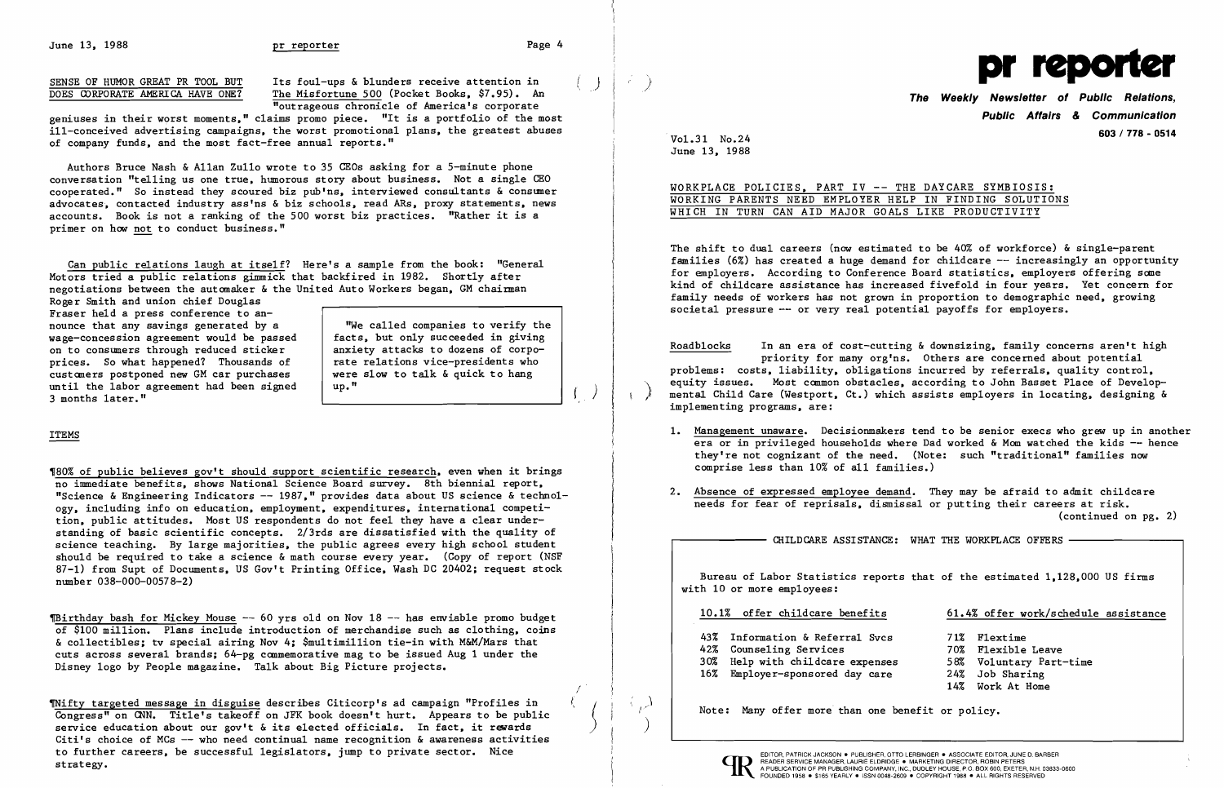June 13, 1988 **pr reporter produced pr reporter Page 4** 

 $\left| \right\rangle$ 

 $\left($ 

ill-conceived advertising campaigns, the worst promotional plans, the greatest abuses of company funds, and the most fact-free annual reports."

Can public relations laugh at itself? Here's a sample from the book: "General Motors tried a public relations gimmick that backfired in 1982. Shortly after negotiations between the automaker & the United Auto Workers began, GM chairman

Authors Bruce Nash &Allan Zullo wrote to 35 CEOs asking for a 5-minute phone conversation "telling us one true, humorous story about business. Not a single CEO cooperated." So instead they scoured biz pub'ns, interviewed consultants & consumer advocates, contacted industry ass'ns & biz schools, read ARs, proxy statements, news accounts. Book is not a ranking of the 500 worst biz practices. "Rather it is a primer on how not to conduct business."

'80% of public believes gov't should support scientific research, even when it brings no immediate benefits, shows National Science Board survey. 8th biennial report, "Science & Engineering Indicators  $-$  1987," provides data about US science & technology, including info on education, employment, expenditures, international competition, public attitudes. Most US respondents do not feel they have a clear understanding of basic scientific concepts. 2/3rds are dissatisfied with the quality of science teaching. By large majorities, the public agrees every high school student should be required to take a science & math course every year. (Copy of report (NSF 87-1) from Supt of Documents, US Gov't Printing Office, Wash DC 20402; request stock number 038-000-00578-2)

TBirthday bash for Mickey Mouse  $-$  60 yrs old on Nov 18  $-$  has enviable promo budget of \$100 million. Plans include introduction of merchandise such as clothing, coins &collectibles; tv special airing Nov 4; \$mu1timi11ion tie-in with M&M/Mars that cuts across several brands; 64-pg commemorative mag to be issued Aug 1 under the Disney logo by People magazine. Talk about Big Picture projects.

~ifty targeted message in disguise describes Citicorp's ad campaign "Profiles in Congress" on CNN. Title's takeoff on JFK book doesn't hurt. Appears to be public service education about our gov't & its elected officials. In fact, it rewards Citi's choice of MCs  $-$  who need continual name recognition & awareness activities to further careers, be successful legislators, jump to private sector. Nice TO TUTTINE CATEGIS, DE SUCCESSIUI IEGISIATORS, JUMP LO PITVALE SECLOR. MICE<br>Strategy.<br>Strategy. A PUBLICATION OF PR PUBLISHING COMPANY, INC., DUDLEY HOUSE, P.O. BOX 600, EXETER, N.H. 03833-0600<br>FOUNDED 1958 . SISS YEARLY

Roger Smith and union chief Douglas Fraser held a press conference to announce that any savings generated by a TWe called companies to verify the<br>wage-concession agreement would be passed facts, but only succeeded in giving wage-concession agreement would be passed facts, but only succeeded in giving<br>on to consumers through reduced sticker anxiety attacks to dozens of corpoon to consumers through reduced sticker anxiety attacks to dozens of corpo-<br>prices. So what happened? Thousands of ate relations vice-presidents who prices. So what happened? Thousands of  $\vert$  rate relations vice-presidents who customers postponed new GM car purchases  $\vert$  were slow to talk & quick to hang customers postponed new GM car purchases were<br>until the labor agreement had been signed up." until the labor agreement had been signed 3 months later."

The Weekly Newsletter of Tublic Medicine, including the model of America's corporate<br>
geniuses in their worst moments," claims promo piece. "It is a portfolio of the most **Public Affairs & Communication 603/778 - <sup>0514</sup>** ·Vo1.31 No.24

# WORKPLACE POLICIES, PART IV -- THE DAYCARE SYMBIOSIS: WORKING PARENTS NEED EMPLOYER HELP IN FINDING SOLUTIONS WHICH IN TURN CAN AID MAJOR GOALS LIKE PRODUCTIVITY

The shift to dual careers (now estimated to be 40% of workforce) & single-parent families  $(6\%)$  has created a huge demand for childcare  $-\text{-}$  increasingly an opportunity for employers. According to Conference Board statistics, employers offering some kind of chi1dcare assistance has increased fivefold in four years. Yet concern for family needs of workers has not grown in proportion to demographic need, growing societal pressure -- or very real potential payoffs for employers.

## ITEMS

Bureau of Labor Statistics reports that of the estimated 1,128,000 US firms with 10 or more employees:

- 43% Information & Referral Svcs
- 42% Counseling Services
- 30% Help with chi1dcare expenses
- 16% Employer-sponsored day care

,) I  $\big)$ 

For the Magnetic Basic Physics of Humor GREAT PR TOOL BUT Its foul-ups & blunders receive attention in Consideration of Public Relations, The Weekly Newsletter of Public Relations,

/ (

 $\begin{pmatrix} 1 & 1 \\ 1 & 1 \end{pmatrix}$ 

June 13, 1988

Roadblocks In an era of cost-cutting & downsizing, family concerns aren't high priority for many org'ns. Others are concerned about potential problems: costs, liability, obligations incurred by referrals, quality control, equity issues. Most common obstacles, according to John Basset Place of Develop-<br>mental Child Care (Westport, Ct.) which assists employers in locating, designing & implementing programs, are:

1. Management unaware. Decisionmakers tend to be senior execs who grew up in another era or in privileged households where Dad worked & Mom watched the kids  $-$  hence they're not cognizant of the need. (Note: such "traditional" families now

- comprise less than 10% of all families.)
- 

2. Absence of expressed employee demand. They may be afraid to admit chi1dcare needs for fear of reprisals, dismissal or putting their careers at risk. (continued on pg. 2)

CHILDCARE ASSISTANCE: WHAT THE WORKPLACE OFFERS -

10.1% offer childcare benefits 61.4% offer work/schedule assistance

71% Flextime 70% Flexible Leave 58% Voluntary Part-time 24% Job Sharing 14% Work At Home

Note: Many offer more than one benefit or policy.



FOUNDED 1958 . \$165 YEARLY . ISSN 0048-2609 . COPYRIGHT 1988 . ALL RIGHTS RESERVED